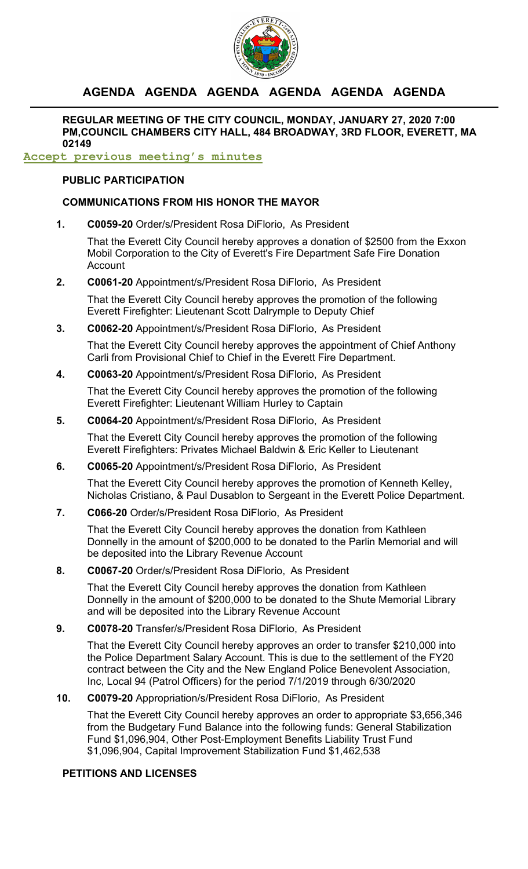

# **AGENDA AGENDA AGENDA AGENDA AGENDA AGENDA**

**REGULAR MEETING OF THE CITY COUNCIL, MONDAY, JANUARY 27, 2020 7:00 PM,COUNCIL CHAMBERS CITY HALL, 484 BROADWAY, 3RD FLOOR, EVERETT, MA 02149**

## **Accept previous meeting's minutes**

### **PUBLIC PARTICIPATION**

### **COMMUNICATIONS FROM HIS HONOR THE MAYOR**

**1. C0059-20** Order/s/President Rosa DiFlorio, As President

That the Everett City Council hereby approves a donation of \$2500 from the Exxon Mobil Corporation to the City of Everett's Fire Department Safe Fire Donation Account

**2. C0061-20** Appointment/s/President Rosa DiFlorio, As President

That the Everett City Council hereby approves the promotion of the following Everett Firefighter: Lieutenant Scott Dalrymple to Deputy Chief

**3. C0062-20** Appointment/s/President Rosa DiFlorio, As President

That the Everett City Council hereby approves the appointment of Chief Anthony Carli from Provisional Chief to Chief in the Everett Fire Department.

**4. C0063-20** Appointment/s/President Rosa DiFlorio, As President

That the Everett City Council hereby approves the promotion of the following Everett Firefighter: Lieutenant William Hurley to Captain

**5. C0064-20** Appointment/s/President Rosa DiFlorio, As President

That the Everett City Council hereby approves the promotion of the following Everett Firefighters: Privates Michael Baldwin & Eric Keller to Lieutenant

**6. C0065-20** Appointment/s/President Rosa DiFlorio, As President

That the Everett City Council hereby approves the promotion of Kenneth Kelley, Nicholas Cristiano, & Paul Dusablon to Sergeant in the Everett Police Department.

**7. C066-20** Order/s/President Rosa DiFlorio, As President

That the Everett City Council hereby approves the donation from Kathleen Donnelly in the amount of \$200,000 to be donated to the Parlin Memorial and will be deposited into the Library Revenue Account

**8. C0067-20** Order/s/President Rosa DiFlorio, As President

That the Everett City Council hereby approves the donation from Kathleen Donnelly in the amount of \$200,000 to be donated to the Shute Memorial Library and will be deposited into the Library Revenue Account

**9. C0078-20** Transfer/s/President Rosa DiFlorio, As President

That the Everett City Council hereby approves an order to transfer \$210,000 into the Police Department Salary Account. This is due to the settlement of the FY20 contract between the City and the New England Police Benevolent Association, Inc, Local 94 (Patrol Officers) for the period 7/1/2019 through 6/30/2020

### **10. C0079-20** Appropriation/s/President Rosa DiFlorio, As President

That the Everett City Council hereby approves an order to appropriate \$3,656,346 from the Budgetary Fund Balance into the following funds: General Stabilization Fund \$1,096,904, Other Post-Employment Benefits Liability Trust Fund \$1,096,904, Capital Improvement Stabilization Fund \$1,462,538

### **PETITIONS AND LICENSES**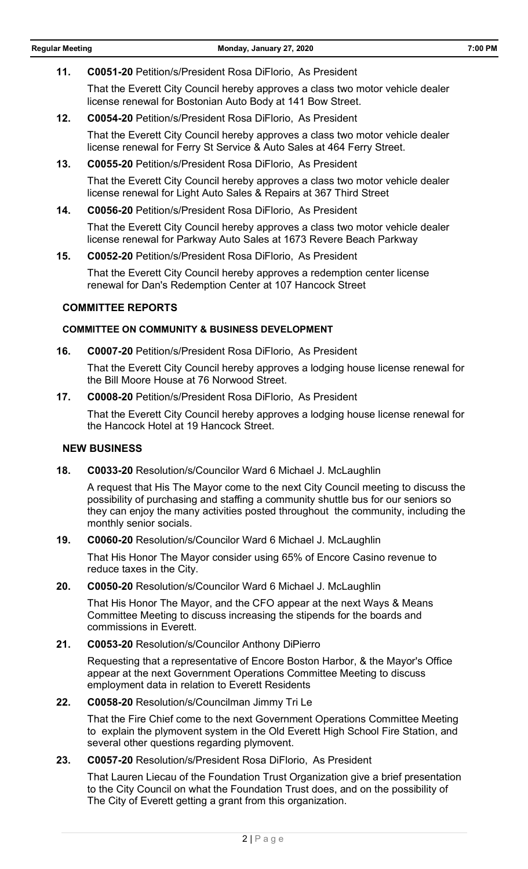**11. C0051-20** Petition/s/President Rosa DiFlorio, As President

That the Everett City Council hereby approves a class two motor vehicle dealer license renewal for Bostonian Auto Body at 141 Bow Street.

**12. C0054-20** Petition/s/President Rosa DiFlorio, As President

That the Everett City Council hereby approves a class two motor vehicle dealer license renewal for Ferry St Service & Auto Sales at 464 Ferry Street.

- **13. C0055-20** Petition/s/President Rosa DiFlorio, As President That the Everett City Council hereby approves a class two motor vehicle dealer license renewal for Light Auto Sales & Repairs at 367 Third Street
- **14. C0056-20** Petition/s/President Rosa DiFlorio, As President

That the Everett City Council hereby approves a class two motor vehicle dealer license renewal for Parkway Auto Sales at 1673 Revere Beach Parkway

**15. C0052-20** Petition/s/President Rosa DiFlorio, As President

That the Everett City Council hereby approves a redemption center license renewal for Dan's Redemption Center at 107 Hancock Street

### **COMMITTEE REPORTS**

### **COMMITTEE ON COMMUNITY & BUSINESS DEVELOPMENT**

**16. C0007-20** Petition/s/President Rosa DiFlorio, As President

That the Everett City Council hereby approves a lodging house license renewal for the Bill Moore House at 76 Norwood Street.

**17. C0008-20** Petition/s/President Rosa DiFlorio, As President

That the Everett City Council hereby approves a lodging house license renewal for the Hancock Hotel at 19 Hancock Street.

### **NEW BUSINESS**

**18. C0033-20** Resolution/s/Councilor Ward 6 Michael J. McLaughlin

A request that His The Mayor come to the next City Council meeting to discuss the possibility of purchasing and staffing a community shuttle bus for our seniors so they can enjoy the many activities posted throughout the community, including the monthly senior socials.

**19. C0060-20** Resolution/s/Councilor Ward 6 Michael J. McLaughlin

That His Honor The Mayor consider using 65% of Encore Casino revenue to reduce taxes in the City.

### **20. C0050-20** Resolution/s/Councilor Ward 6 Michael J. McLaughlin

That His Honor The Mayor, and the CFO appear at the next Ways & Means Committee Meeting to discuss increasing the stipends for the boards and commissions in Everett.

### **21. C0053-20** Resolution/s/Councilor Anthony DiPierro

Requesting that a representative of Encore Boston Harbor, & the Mayor's Office appear at the next Government Operations Committee Meeting to discuss employment data in relation to Everett Residents

### **22. C0058-20** Resolution/s/Councilman Jimmy Tri Le

That the Fire Chief come to the next Government Operations Committee Meeting to explain the plymovent system in the Old Everett High School Fire Station, and several other questions regarding plymovent.

**23. C0057-20** Resolution/s/President Rosa DiFlorio, As President

That Lauren Liecau of the Foundation Trust Organization give a brief presentation to the City Council on what the Foundation Trust does, and on the possibility of The City of Everett getting a grant from this organization.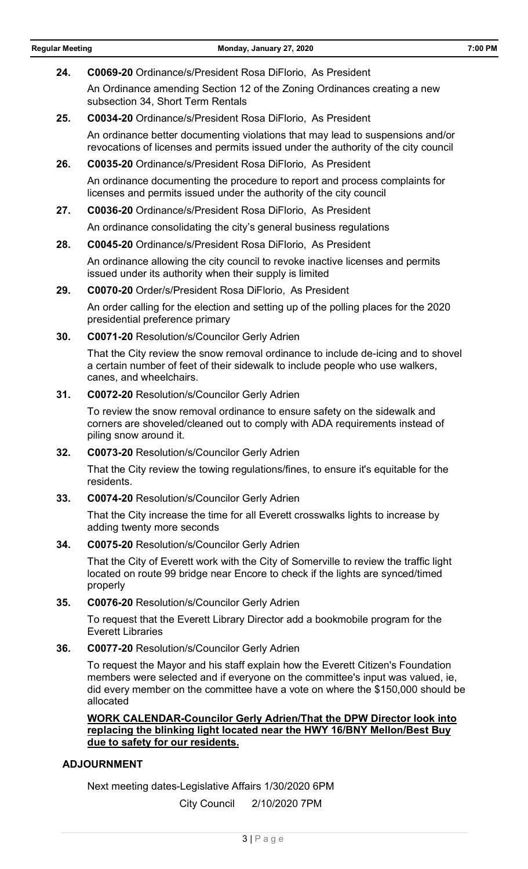**24. C0069-20** Ordinance/s/President Rosa DiFlorio, As President

An Ordinance amending Section 12 of the Zoning Ordinances creating a new subsection 34, Short Term Rentals

**25. C0034-20** Ordinance/s/President Rosa DiFlorio, As President

An ordinance better documenting violations that may lead to suspensions and/or revocations of licenses and permits issued under the authority of the city council

- **26. C0035-20** Ordinance/s/President Rosa DiFlorio, As President An ordinance documenting the procedure to report and process complaints for licenses and permits issued under the authority of the city council
- **27. C0036-20** Ordinance/s/President Rosa DiFlorio, As President

An ordinance consolidating the city's general business regulations

**28. C0045-20** Ordinance/s/President Rosa DiFlorio, As President

An ordinance allowing the city council to revoke inactive licenses and permits issued under its authority when their supply is limited

**29. C0070-20** Order/s/President Rosa DiFlorio, As President

An order calling for the election and setting up of the polling places for the 2020 presidential preference primary

**30. C0071-20** Resolution/s/Councilor Gerly Adrien

That the City review the snow removal ordinance to include de-icing and to shovel a certain number of feet of their sidewalk to include people who use walkers, canes, and wheelchairs.

**31. C0072-20** Resolution/s/Councilor Gerly Adrien

To review the snow removal ordinance to ensure safety on the sidewalk and corners are shoveled/cleaned out to comply with ADA requirements instead of piling snow around it.

**32. C0073-20** Resolution/s/Councilor Gerly Adrien

That the City review the towing regulations/fines, to ensure it's equitable for the residents.

**33. C0074-20** Resolution/s/Councilor Gerly Adrien

That the City increase the time for all Everett crosswalks lights to increase by adding twenty more seconds

**34. C0075-20** Resolution/s/Councilor Gerly Adrien

That the City of Everett work with the City of Somerville to review the traffic light located on route 99 bridge near Encore to check if the lights are synced/timed properly

**35. C0076-20** Resolution/s/Councilor Gerly Adrien

To request that the Everett Library Director add a bookmobile program for the Everett Libraries

**36. C0077-20** Resolution/s/Councilor Gerly Adrien

To request the Mayor and his staff explain how the Everett Citizen's Foundation members were selected and if everyone on the committee's input was valued, ie, did every member on the committee have a vote on where the \$150,000 should be allocated

**WORK CALENDAR-Councilor Gerly Adrien/That the DPW Director look into replacing the blinking light located near the HWY 16/BNY Mellon/Best Buy due to safety for our residents.**

### **ADJOURNMENT**

Next meeting dates-Legislative Affairs 1/30/2020 6PM

City Council 2/10/2020 7PM